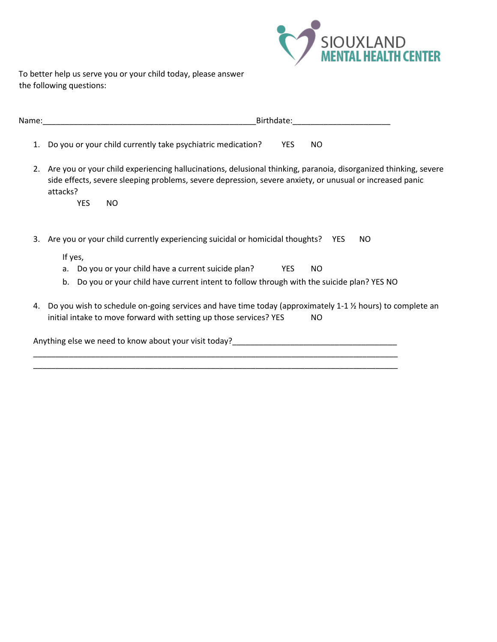

To better help us serve you or your child today, please answer the following questions:

| Name:____ | Birthdate:                                                                                                                                                                                                                                                   |  |  |  |  |
|-----------|--------------------------------------------------------------------------------------------------------------------------------------------------------------------------------------------------------------------------------------------------------------|--|--|--|--|
| 1.        | Do you or your child currently take psychiatric medication?<br><b>YES</b><br>NO.                                                                                                                                                                             |  |  |  |  |
| 2.        | Are you or your child experiencing hallucinations, delusional thinking, paranoia, disorganized thinking, severe<br>side effects, severe sleeping problems, severe depression, severe anxiety, or unusual or increased panic<br>attacks?<br><b>YES</b><br>NO. |  |  |  |  |
|           |                                                                                                                                                                                                                                                              |  |  |  |  |
| 3.        | Are you or your child currently experiencing suicidal or homicidal thoughts? YES<br>NO.                                                                                                                                                                      |  |  |  |  |
|           | If yes,                                                                                                                                                                                                                                                      |  |  |  |  |
|           | Do you or your child have a current suicide plan?<br>YES<br>NO.<br>a.                                                                                                                                                                                        |  |  |  |  |
|           | Do you or your child have current intent to follow through with the suicide plan? YES NO<br>b.                                                                                                                                                               |  |  |  |  |
| 4.        | Do you wish to schedule on-going services and have time today (approximately 1-1 1/2 hours) to complete an<br>initial intake to move forward with setting up those services? YES<br>NO.                                                                      |  |  |  |  |
|           | Anything else we need to know about your visit today?                                                                                                                                                                                                        |  |  |  |  |

\_\_\_\_\_\_\_\_\_\_\_\_\_\_\_\_\_\_\_\_\_\_\_\_\_\_\_\_\_\_\_\_\_\_\_\_\_\_\_\_\_\_\_\_\_\_\_\_\_\_\_\_\_\_\_\_\_\_\_\_\_\_\_\_\_\_\_\_\_\_\_\_\_\_\_\_\_\_\_\_\_\_ \_\_\_\_\_\_\_\_\_\_\_\_\_\_\_\_\_\_\_\_\_\_\_\_\_\_\_\_\_\_\_\_\_\_\_\_\_\_\_\_\_\_\_\_\_\_\_\_\_\_\_\_\_\_\_\_\_\_\_\_\_\_\_\_\_\_\_\_\_\_\_\_\_\_\_\_\_\_\_\_\_\_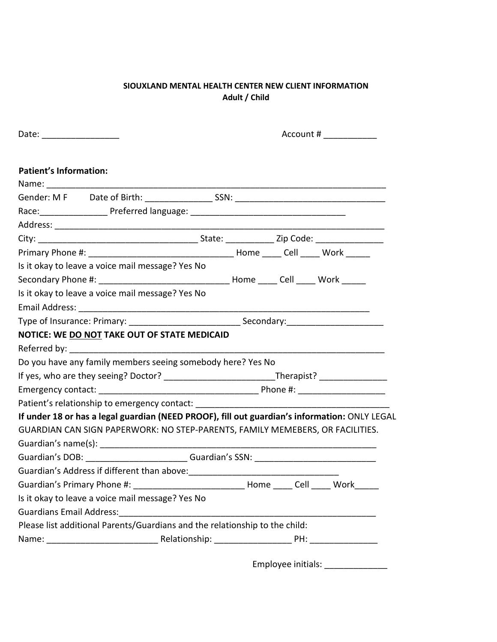# **SIOUXLAND MENTAL HEALTH CENTER NEW CLIENT INFORMATION Adult / Child**

| <b>Patient's Information:</b>                                                                       |  |  |  |  |                                   |
|-----------------------------------------------------------------------------------------------------|--|--|--|--|-----------------------------------|
|                                                                                                     |  |  |  |  |                                   |
|                                                                                                     |  |  |  |  |                                   |
|                                                                                                     |  |  |  |  |                                   |
|                                                                                                     |  |  |  |  |                                   |
|                                                                                                     |  |  |  |  |                                   |
| Is it okay to leave a voice mail message? Yes No                                                    |  |  |  |  |                                   |
|                                                                                                     |  |  |  |  |                                   |
| Is it okay to leave a voice mail message? Yes No                                                    |  |  |  |  |                                   |
|                                                                                                     |  |  |  |  |                                   |
|                                                                                                     |  |  |  |  |                                   |
| NOTICE: WE DO NOT TAKE OUT OF STATE MEDICAID                                                        |  |  |  |  |                                   |
|                                                                                                     |  |  |  |  |                                   |
| Do you have any family members seeing somebody here? Yes No                                         |  |  |  |  |                                   |
| If yes, who are they seeing? Doctor? ________________________________Therapist? ___________________ |  |  |  |  |                                   |
|                                                                                                     |  |  |  |  |                                   |
| Patient's relationship to emergency contact: ___________________________________                    |  |  |  |  |                                   |
| If under 18 or has a legal guardian (NEED PROOF), fill out guardian's information: ONLY LEGAL       |  |  |  |  |                                   |
| GUARDIAN CAN SIGN PAPERWORK: NO STEP-PARENTS, FAMILY MEMEBERS, OR FACILITIES.                       |  |  |  |  |                                   |
|                                                                                                     |  |  |  |  |                                   |
| Guardian's DOB: Guardian's SSN: Communication of Superintendies and Superintendies of SSN:          |  |  |  |  |                                   |
|                                                                                                     |  |  |  |  |                                   |
|                                                                                                     |  |  |  |  |                                   |
| Is it okay to leave a voice mail message? Yes No                                                    |  |  |  |  |                                   |
|                                                                                                     |  |  |  |  |                                   |
| Please list additional Parents/Guardians and the relationship to the child:                         |  |  |  |  |                                   |
|                                                                                                     |  |  |  |  |                                   |
|                                                                                                     |  |  |  |  |                                   |
|                                                                                                     |  |  |  |  | Employee initials: ______________ |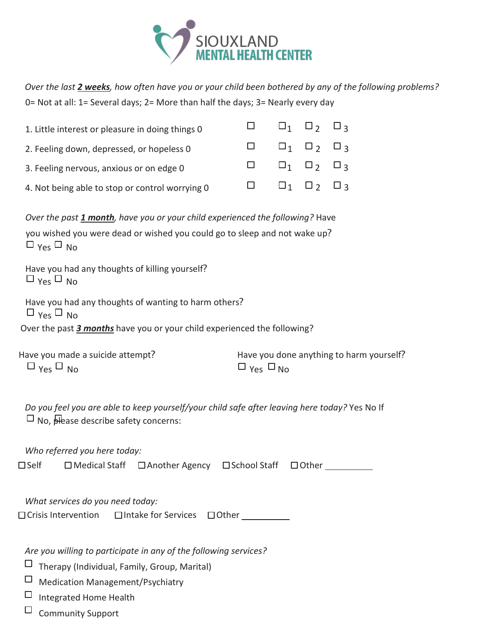

*Over the last 2 weeks, how often have you or your child been bothered by any of the following problems?* 0= Not at all: 1= Several days; 2= More than half the days; 3= Nearly every day

| 1. Little interest or pleasure in doing things 0 |  | $\Box \qquad \Box_1 \quad \Box_2 \quad \Box_3$ |  |
|--------------------------------------------------|--|------------------------------------------------|--|
| 2. Feeling down, depressed, or hopeless 0        |  | $\Box$ $\Box_1$ $\Box_2$ $\Box_3$              |  |
| 3. Feeling nervous, anxious or on edge 0         |  | $\Box \qquad \Box_1 \quad \Box_2 \quad \Box_3$ |  |
| 4. Not being able to stop or control worrying 0  |  | $\Box \qquad \Box_1 \quad \Box_2 \quad \Box_3$ |  |

*Over the past 1 month, have you or your child experienced the following?* Have you wished you were dead or wished you could go to sleep and not wake up?  $\Box$  Yes  $\Box$  No.

Have you had any thoughts of killing yourself?  $\Box$  Yes  $\Box$  No

Have you had any thoughts of wanting to harm others?  $\Box$  Yes  $\Box$  No. Over the past *3 months* have you or your child experienced the following?

| Have you made a suicide attempt?             | Have you done anything to harm yourself? |
|----------------------------------------------|------------------------------------------|
| $\Box$ $_{\text{Yes}}$ $\Box$ $_{\text{No}}$ | $\Box$ Yes $\Box$ No                     |

*Do you feel you are able to keep yourself/your child safe after leaving here today?* Yes No If  $\Box$  No,  $\Box$  describe safety concerns:

*Who referred you here today:* □Self □ Medical Staff □ Another Agency □ School Staff □ Other

*What services do you need today:*

 $\Box$  Crisis Intervention  $\Box$  Intake for Services  $\Box$  Other

*Are you willing to participate in any of the following services?*

- $\Box$  Therapy (Individual, Family, Group, Marital)
- Medication Management/Psychiatry
- $\Box$ Integrated Home Health
- $\square$  Community Support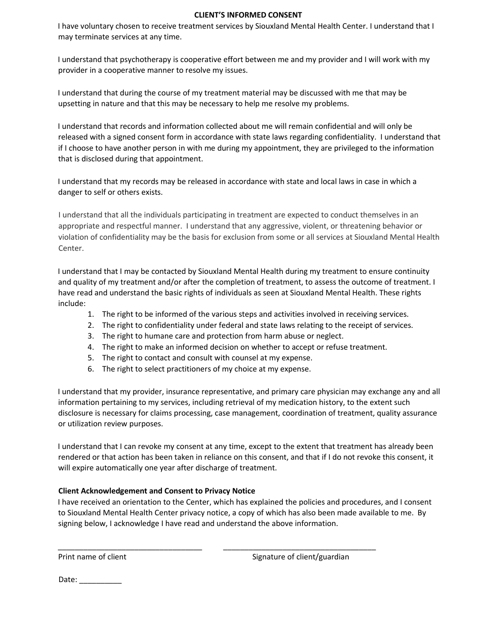# **CLIENT'S INFORMED CONSENT**

I have voluntary chosen to receive treatment services by Siouxland Mental Health Center. I understand that I may terminate services at any time.

I understand that psychotherapy is cooperative effort between me and my provider and I will work with my provider in a cooperative manner to resolve my issues.

I understand that during the course of my treatment material may be discussed with me that may be upsetting in nature and that this may be necessary to help me resolve my problems.

I understand that records and information collected about me will remain confidential and will only be released with a signed consent form in accordance with state laws regarding confidentiality. I understand that if I choose to have another person in with me during my appointment, they are privileged to the information that is disclosed during that appointment.

I understand that my records may be released in accordance with state and local laws in case in which a danger to self or others exists.

I understand that all the individuals participating in treatment are expected to conduct themselves in an appropriate and respectful manner. I understand that any aggressive, violent, or threatening behavior or violation of confidentiality may be the basis for exclusion from some or all services at Siouxland Mental Health Center.

I understand that I may be contacted by Siouxland Mental Health during my treatment to ensure continuity and quality of my treatment and/or after the completion of treatment, to assess the outcome of treatment. I have read and understand the basic rights of individuals as seen at Siouxland Mental Health. These rights include:

- 1. The right to be informed of the various steps and activities involved in receiving services.
- 2. The right to confidentiality under federal and state laws relating to the receipt of services.
- 3. The right to humane care and protection from harm abuse or neglect.
- 4. The right to make an informed decision on whether to accept or refuse treatment.
- 5. The right to contact and consult with counsel at my expense.
- 6. The right to select practitioners of my choice at my expense.

I understand that my provider, insurance representative, and primary care physician may exchange any and all information pertaining to my services, including retrieval of my medication history, to the extent such disclosure is necessary for claims processing, case management, coordination of treatment, quality assurance or utilization review purposes.

I understand that I can revoke my consent at any time, except to the extent that treatment has already been rendered or that action has been taken in reliance on this consent, and that if I do not revoke this consent, it will expire automatically one year after discharge of treatment.

# **Client Acknowledgement and Consent to Privacy Notice**

I have received an orientation to the Center, which has explained the policies and procedures, and I consent to Siouxland Mental Health Center privacy notice, a copy of which has also been made available to me. By signing below, I acknowledge I have read and understand the above information.

\_\_\_\_\_\_\_\_\_\_\_\_\_\_\_\_\_\_\_\_\_\_\_\_\_\_\_\_\_\_\_\_\_\_ \_\_\_\_\_\_\_\_\_\_\_\_\_\_\_\_\_\_\_\_\_\_\_\_\_\_\_\_\_\_\_\_\_\_\_\_

Print name of client **Signature of client**/guardian

Date: \_\_\_\_\_\_\_\_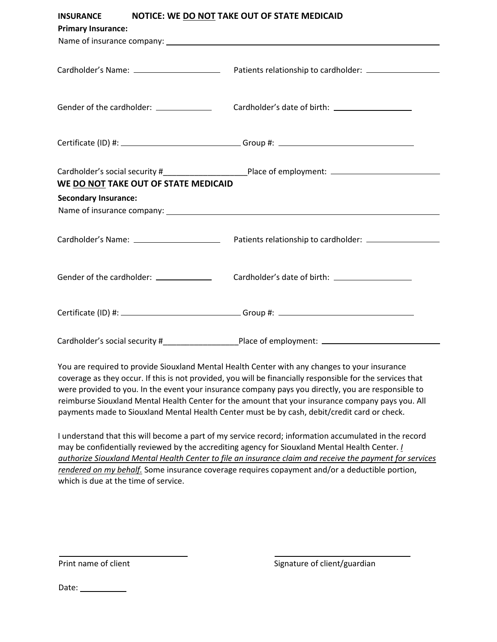| <b>INSURANCE</b><br><b>Primary Insurance:</b>                       | NOTICE: WE DO NOT TAKE OUT OF STATE MEDICAID                                                                   |
|---------------------------------------------------------------------|----------------------------------------------------------------------------------------------------------------|
|                                                                     |                                                                                                                |
| Gender of the cardholder: _______________                           |                                                                                                                |
|                                                                     | Certificate (ID) #: ________________________________Group #: ___________________                               |
| WE DO NOT TAKE OUT OF STATE MEDICAID<br><b>Secondary Insurance:</b> | Name of insurance company: example and a series of the series of the series of the series of the series of the |
|                                                                     |                                                                                                                |
|                                                                     |                                                                                                                |
|                                                                     |                                                                                                                |
|                                                                     | Cardholder's social security # Place of employment: ____________________________                               |

You are required to provide Siouxland Mental Health Center with any changes to your insurance coverage as they occur. If this is not provided, you will be financially responsible for the services that were provided to you. In the event your insurance company pays you directly, you are responsible to reimburse Siouxland Mental Health Center for the amount that your insurance company pays you. All payments made to Siouxland Mental Health Center must be by cash, debit/credit card or check.

I understand that this will become a part of my service record; information accumulated in the record may be confidentially reviewed by the accrediting agency for Siouxland Mental Health Center. *I authorize Siouxland Mental Health Center to file an insurance claim and receive the payment for services rendered on my behalf.* Some insurance coverage requires copayment and/or a deductible portion, which is due at the time of service.

Print name of client  $\qquad \qquad$  Signature of client/guardian

Date: 1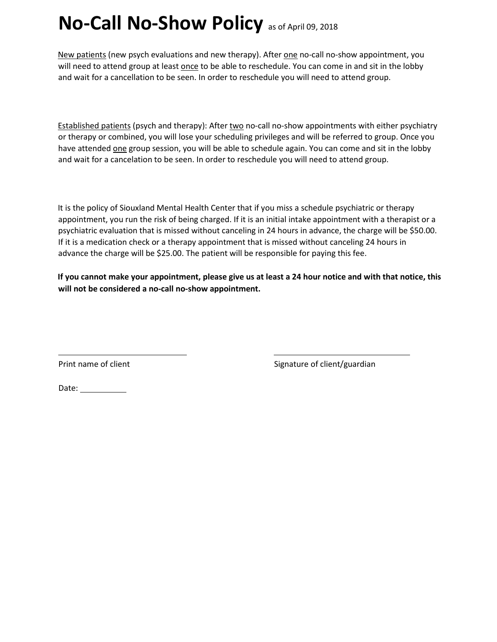# **No-Call No-Show Policy** as of April 09, 2018

New patients (new psych evaluations and new therapy). After one no-call no-show appointment, you will need to attend group at least once to be able to reschedule. You can come in and sit in the lobby and wait for a cancellation to be seen. In order to reschedule you will need to attend group.

Established patients (psych and therapy): After two no-call no-show appointments with either psychiatry or therapy or combined, you will lose your scheduling privileges and will be referred to group. Once you have attended one group session, you will be able to schedule again. You can come and sit in the lobby and wait for a cancelation to be seen. In order to reschedule you will need to attend group.

It is the policy of Siouxland Mental Health Center that if you miss a schedule psychiatric or therapy appointment, you run the risk of being charged. If it is an initial intake appointment with a therapist or a psychiatric evaluation that is missed without canceling in 24 hours in advance, the charge will be \$50.00. If it is a medication check or a therapy appointment that is missed without canceling 24 hours in advance the charge will be \$25.00. The patient will be responsible for paying this fee.

**If you cannot make your appointment, please give us at least a 24 hour notice and with that notice, this will not be considered a no-call no-show appointment.** 

Print name of client  $S$  signature of client/guardian

Date: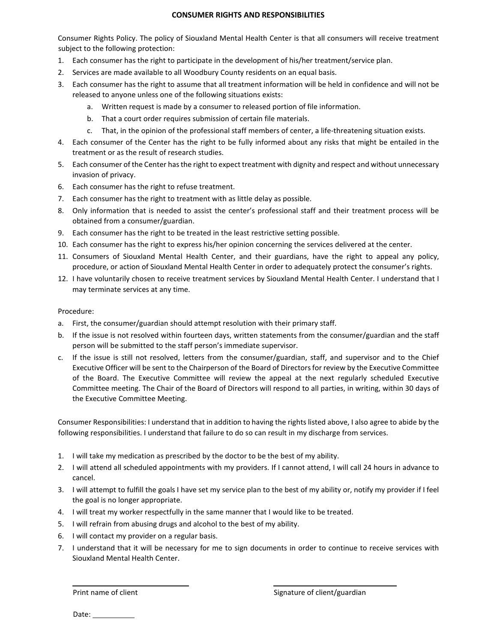## **CONSUMER RIGHTS AND RESPONSIBILITIES**

Consumer Rights Policy. The policy of Siouxland Mental Health Center is that all consumers will receive treatment subject to the following protection:

- 1. Each consumer has the right to participate in the development of his/her treatment/service plan.
- 2. Services are made available to all Woodbury County residents on an equal basis.
- 3. Each consumer has the right to assume that all treatment information will be held in confidence and will not be released to anyone unless one of the following situations exists:
	- a. Written request is made by a consumer to released portion of file information.
	- b. That a court order requires submission of certain file materials.
	- c. That, in the opinion of the professional staff members of center, a life-threatening situation exists.
- 4. Each consumer of the Center has the right to be fully informed about any risks that might be entailed in the treatment or as the result of research studies.
- 5. Each consumer of the Center has the right to expect treatment with dignity and respect and without unnecessary invasion of privacy.
- 6. Each consumer has the right to refuse treatment.
- 7. Each consumer has the right to treatment with as little delay as possible.
- 8. Only information that is needed to assist the center's professional staff and their treatment process will be obtained from a consumer/guardian.
- 9. Each consumer has the right to be treated in the least restrictive setting possible.
- 10. Each consumer has the right to express his/her opinion concerning the services delivered at the center.
- 11. Consumers of Siouxland Mental Health Center, and their guardians, have the right to appeal any policy, procedure, or action of Siouxland Mental Health Center in order to adequately protect the consumer's rights.
- 12. I have voluntarily chosen to receive treatment services by Siouxland Mental Health Center. I understand that I may terminate services at any time.

### Procedure:

- a. First, the consumer/guardian should attempt resolution with their primary staff.
- b. If the issue is not resolved within fourteen days, written statements from the consumer/guardian and the staff person will be submitted to the staff person's immediate supervisor.
- c. If the issue is still not resolved, letters from the consumer/guardian, staff, and supervisor and to the Chief Executive Officer will be sent to the Chairperson of the Board of Directors for review by the Executive Committee of the Board. The Executive Committee will review the appeal at the next regularly scheduled Executive Committee meeting. The Chair of the Board of Directors will respond to all parties, in writing, within 30 days of the Executive Committee Meeting.

Consumer Responsibilities: I understand that in addition to having the rights listed above, I also agree to abide by the following responsibilities. I understand that failure to do so can result in my discharge from services.

- 1. I will take my medication as prescribed by the doctor to be the best of my ability.
- 2. I will attend all scheduled appointments with my providers. If I cannot attend, I will call 24 hours in advance to cancel.
- 3. I will attempt to fulfill the goals I have set my service plan to the best of my ability or, notify my provider if I feel the goal is no longer appropriate.
- 4. I will treat my worker respectfully in the same manner that I would like to be treated.
- 5. I will refrain from abusing drugs and alcohol to the best of my ability.
- 6. I will contact my provider on a regular basis.
- 7. I understand that it will be necessary for me to sign documents in order to continue to receive services with Siouxland Mental Health Center.

Date: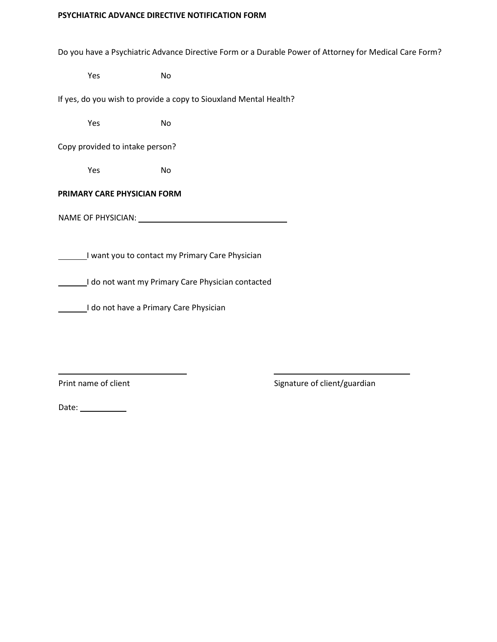# **PSYCHIATRIC ADVANCE DIRECTIVE NOTIFICATION FORM**

Do you have a Psychiatric Advance Directive Form or a Durable Power of Attorney for Medical Care Form?

Yes No

If yes, do you wish to provide a copy to Siouxland Mental Health?

Yes No

Copy provided to intake person?

Yes No

# **PRIMARY CARE PHYSICIAN FORM**

NAME OF PHYSICIAN: University of the state of the state of the state of the state of the state of the state of the state of the state of the state of the state of the state of the state of the state of the state of the sta

I want you to contact my Primary Care Physician

I do not want my Primary Care Physician contacted

I do not have a Primary Care Physician

Print name of client  $\qquad \qquad$  Signature of client/guardian

Date: \_\_\_\_\_\_\_\_\_\_\_\_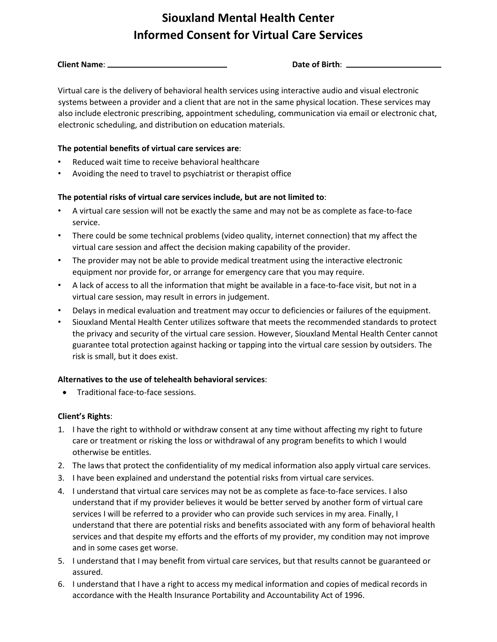# **Siouxland Mental Health Center Informed Consent for Virtual Care Services**

**Client Name:** <u>**Date of Birth: Date of Birth**: **Date of Birth: Date of Birth: Date of Birth: Date of Birth: Date of Birth: Date of Birth: Date of Birth: Date of Birth: Date of Birth: Date of Birth: D</u>** 

Virtual care is the delivery of behavioral health services using interactive audio and visual electronic systems between a provider and a client that are not in the same physical location. These services may also include electronic prescribing, appointment scheduling, communication via email or electronic chat, electronic scheduling, and distribution on education materials.

# **The potential benefits of virtual care services are**:

- Reduced wait time to receive behavioral healthcare
- Avoiding the need to travel to psychiatrist or therapist office

# **The potential risks of virtual care services include, but are not limited to**:

- A virtual care session will not be exactly the same and may not be as complete as face-to-face service.
- There could be some technical problems (video quality, internet connection) that my affect the virtual care session and affect the decision making capability of the provider.
- The provider may not be able to provide medical treatment using the interactive electronic equipment nor provide for, or arrange for emergency care that you may require.
- A lack of access to all the information that might be available in a face-to-face visit, but not in a virtual care session, may result in errors in judgement.
- Delays in medical evaluation and treatment may occur to deficiencies or failures of the equipment.
- Siouxland Mental Health Center utilizes software that meets the recommended standards to protect the privacy and security of the virtual care session. However, Siouxland Mental Health Center cannot guarantee total protection against hacking or tapping into the virtual care session by outsiders. The risk is small, but it does exist.

# **Alternatives to the use of telehealth behavioral services**:

• Traditional face-to-face sessions.

# **Client's Rights**:

- 1. I have the right to withhold or withdraw consent at any time without affecting my right to future care or treatment or risking the loss or withdrawal of any program benefits to which I would otherwise be entitles.
- 2. The laws that protect the confidentiality of my medical information also apply virtual care services.
- 3. I have been explained and understand the potential risks from virtual care services.
- 4. I understand that virtual care services may not be as complete as face-to-face services. I also understand that if my provider believes it would be better served by another form of virtual care services I will be referred to a provider who can provide such services in my area. Finally, I understand that there are potential risks and benefits associated with any form of behavioral health services and that despite my efforts and the efforts of my provider, my condition may not improve and in some cases get worse.
- 5. I understand that I may benefit from virtual care services, but that results cannot be guaranteed or assured.
- 6. I understand that I have a right to access my medical information and copies of medical records in accordance with the Health Insurance Portability and Accountability Act of 1996.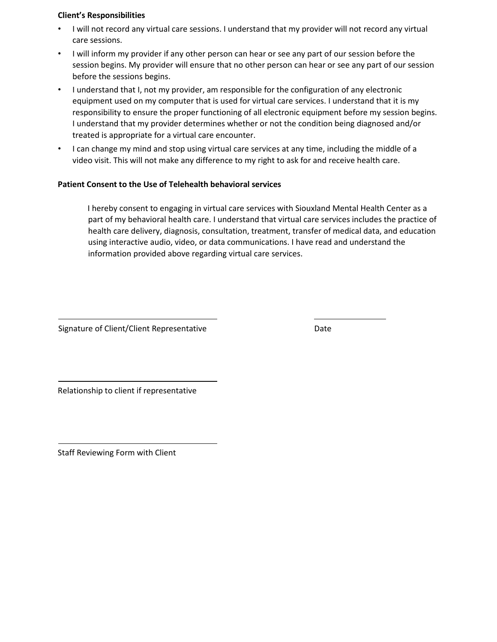# **Client's Responsibilities**

- I will not record any virtual care sessions. I understand that my provider will not record any virtual care sessions.
- I will inform my provider if any other person can hear or see any part of our session before the session begins. My provider will ensure that no other person can hear or see any part of our session before the sessions begins.
- I understand that I, not my provider, am responsible for the configuration of any electronic equipment used on my computer that is used for virtual care services. I understand that it is my responsibility to ensure the proper functioning of all electronic equipment before my session begins. I understand that my provider determines whether or not the condition being diagnosed and/or treated is appropriate for a virtual care encounter.
- I can change my mind and stop using virtual care services at any time, including the middle of a video visit. This will not make any difference to my right to ask for and receive health care.

# **Patient Consent to the Use of Telehealth behavioral services**

I hereby consent to engaging in virtual care services with Siouxland Mental Health Center as a part of my behavioral health care. I understand that virtual care services includes the practice of health care delivery, diagnosis, consultation, treatment, transfer of medical data, and education using interactive audio, video, or data communications. I have read and understand the information provided above regarding virtual care services.

Signature of Client/Client Representative **Example 20 and Series** Date

Relationship to client if representative

Staff Reviewing Form with Client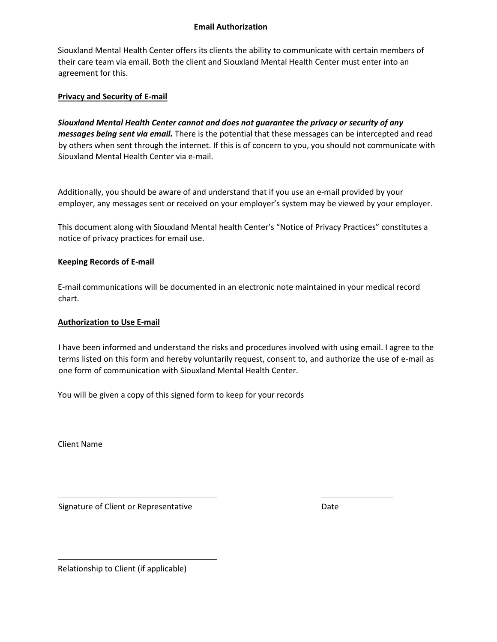# **Email Authorization**

Siouxland Mental Health Center offers its clients the ability to communicate with certain members of their care team via email. Both the client and Siouxland Mental Health Center must enter into an agreement for this.

# **Privacy and Security of E-mail**

*Siouxland Mental Health Center cannot and does not guarantee the privacy or security of any messages being sent via email.* There is the potential that these messages can be intercepted and read by others when sent through the internet. If this is of concern to you, you should not communicate with Siouxland Mental Health Center via e-mail.

Additionally, you should be aware of and understand that if you use an e-mail provided by your employer, any messages sent or received on your employer's system may be viewed by your employer.

This document along with Siouxland Mental health Center's "Notice of Privacy Practices" constitutes a notice of privacy practices for email use.

# **Keeping Records of E-mail**

E-mail communications will be documented in an electronic note maintained in your medical record chart.

# **Authorization to Use E-mail**

I have been informed and understand the risks and procedures involved with using email. I agree to the terms listed on this form and hereby voluntarily request, consent to, and authorize the use of e-mail as one form of communication with Siouxland Mental Health Center.

You will be given a copy of this signed form to keep for your records

Client Name

Signature of Client or Representative Date Date

Relationship to Client (if applicable)